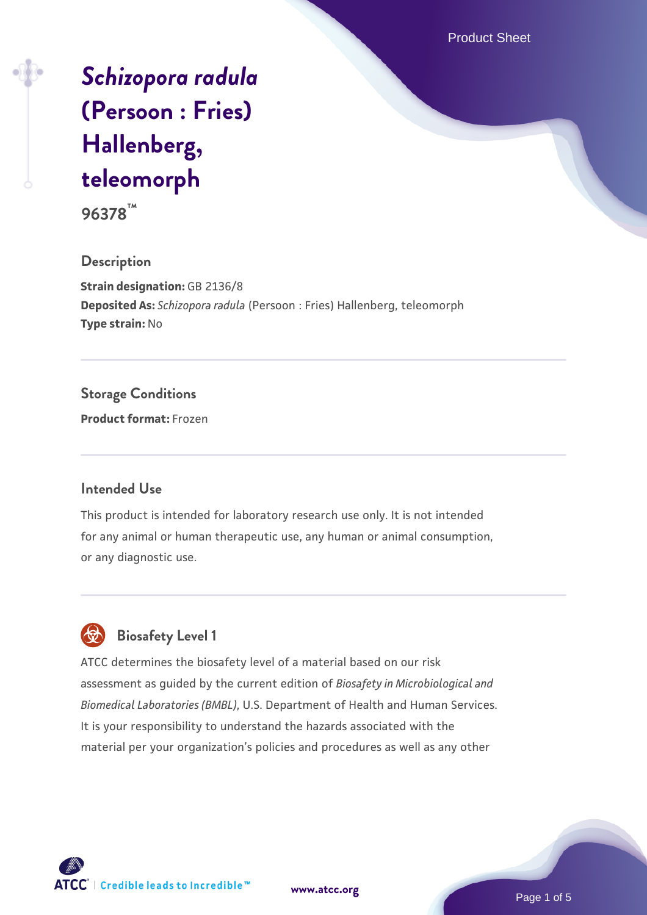Product Sheet

# *[Schizopora radula](https://www.atcc.org/products/96378)* **[\(Persoon : Fries\)](https://www.atcc.org/products/96378) [Hallenberg,](https://www.atcc.org/products/96378) [teleomorph](https://www.atcc.org/products/96378)**

**96378™**

#### **Description**

**Strain designation:** GB 2136/8 **Deposited As:** *Schizopora radula* (Persoon : Fries) Hallenberg, teleomorph **Type strain:** No

## **Storage Conditions**

**Product format:** Frozen

#### **Intended Use**

This product is intended for laboratory research use only. It is not intended for any animal or human therapeutic use, any human or animal consumption, or any diagnostic use.

# **Biosafety Level 1**

ATCC determines the biosafety level of a material based on our risk assessment as guided by the current edition of *Biosafety in Microbiological and Biomedical Laboratories (BMBL)*, U.S. Department of Health and Human Services. It is your responsibility to understand the hazards associated with the material per your organization's policies and procedures as well as any other



**[www.atcc.org](http://www.atcc.org)**

Page 1 of 5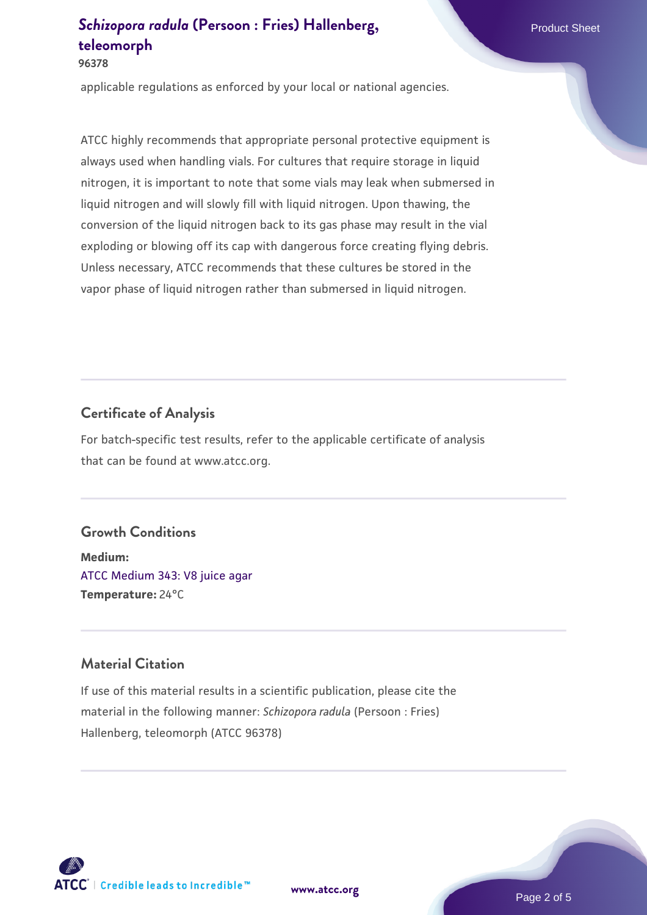**96378**

applicable regulations as enforced by your local or national agencies.

ATCC highly recommends that appropriate personal protective equipment is always used when handling vials. For cultures that require storage in liquid nitrogen, it is important to note that some vials may leak when submersed in liquid nitrogen and will slowly fill with liquid nitrogen. Upon thawing, the conversion of the liquid nitrogen back to its gas phase may result in the vial exploding or blowing off its cap with dangerous force creating flying debris. Unless necessary, ATCC recommends that these cultures be stored in the vapor phase of liquid nitrogen rather than submersed in liquid nitrogen.

# **Certificate of Analysis**

For batch-specific test results, refer to the applicable certificate of analysis that can be found at www.atcc.org.

## **Growth Conditions**

**Medium:**  [ATCC Medium 343: V8 juice agar](https://www.atcc.org/-/media/product-assets/documents/microbial-media-formulations/3/4/3/atcc-medium-0343.pdf?rev=fbf48fa24e664932828269db1822ab12) **Temperature:** 24°C

### **Material Citation**

If use of this material results in a scientific publication, please cite the material in the following manner: *Schizopora radula* (Persoon : Fries) Hallenberg, teleomorph (ATCC 96378)



**[www.atcc.org](http://www.atcc.org)**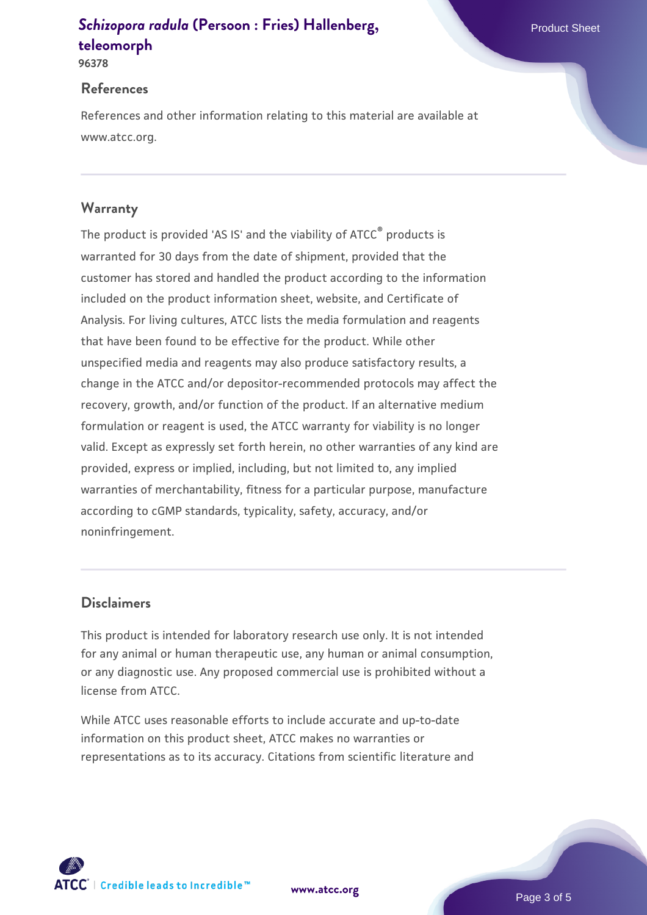**96378**

#### **References**

References and other information relating to this material are available at www.atcc.org.

## **Warranty**

The product is provided 'AS IS' and the viability of ATCC® products is warranted for 30 days from the date of shipment, provided that the customer has stored and handled the product according to the information included on the product information sheet, website, and Certificate of Analysis. For living cultures, ATCC lists the media formulation and reagents that have been found to be effective for the product. While other unspecified media and reagents may also produce satisfactory results, a change in the ATCC and/or depositor-recommended protocols may affect the recovery, growth, and/or function of the product. If an alternative medium formulation or reagent is used, the ATCC warranty for viability is no longer valid. Except as expressly set forth herein, no other warranties of any kind are provided, express or implied, including, but not limited to, any implied warranties of merchantability, fitness for a particular purpose, manufacture according to cGMP standards, typicality, safety, accuracy, and/or noninfringement.

### **Disclaimers**

This product is intended for laboratory research use only. It is not intended for any animal or human therapeutic use, any human or animal consumption, or any diagnostic use. Any proposed commercial use is prohibited without a license from ATCC.

While ATCC uses reasonable efforts to include accurate and up-to-date information on this product sheet, ATCC makes no warranties or representations as to its accuracy. Citations from scientific literature and

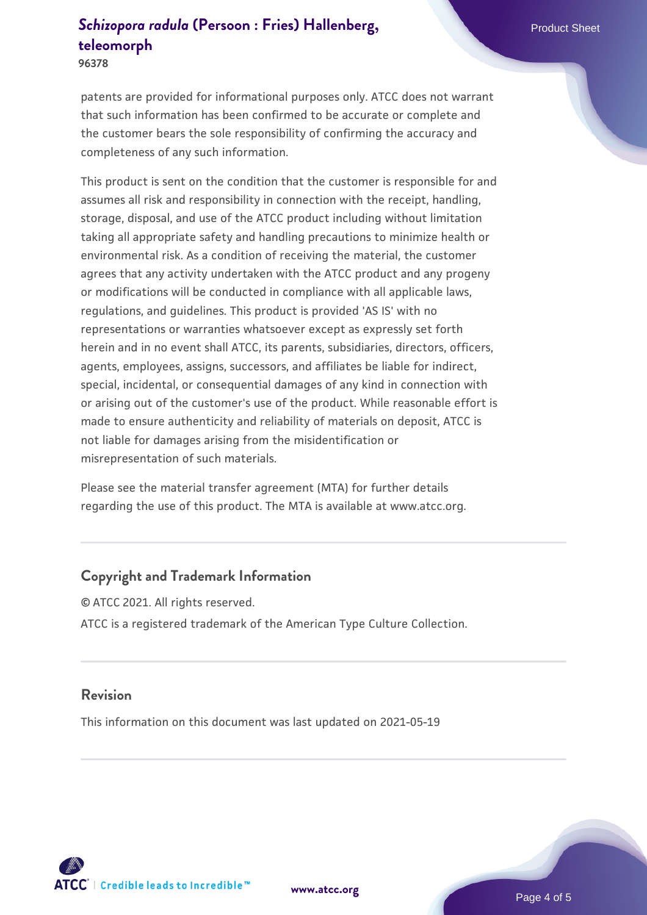**96378**

patents are provided for informational purposes only. ATCC does not warrant that such information has been confirmed to be accurate or complete and the customer bears the sole responsibility of confirming the accuracy and completeness of any such information.

This product is sent on the condition that the customer is responsible for and assumes all risk and responsibility in connection with the receipt, handling, storage, disposal, and use of the ATCC product including without limitation taking all appropriate safety and handling precautions to minimize health or environmental risk. As a condition of receiving the material, the customer agrees that any activity undertaken with the ATCC product and any progeny or modifications will be conducted in compliance with all applicable laws, regulations, and guidelines. This product is provided 'AS IS' with no representations or warranties whatsoever except as expressly set forth herein and in no event shall ATCC, its parents, subsidiaries, directors, officers, agents, employees, assigns, successors, and affiliates be liable for indirect, special, incidental, or consequential damages of any kind in connection with or arising out of the customer's use of the product. While reasonable effort is made to ensure authenticity and reliability of materials on deposit, ATCC is not liable for damages arising from the misidentification or misrepresentation of such materials.

Please see the material transfer agreement (MTA) for further details regarding the use of this product. The MTA is available at www.atcc.org.

## **Copyright and Trademark Information**

© ATCC 2021. All rights reserved. ATCC is a registered trademark of the American Type Culture Collection.

#### **Revision**

This information on this document was last updated on 2021-05-19



**[www.atcc.org](http://www.atcc.org)**